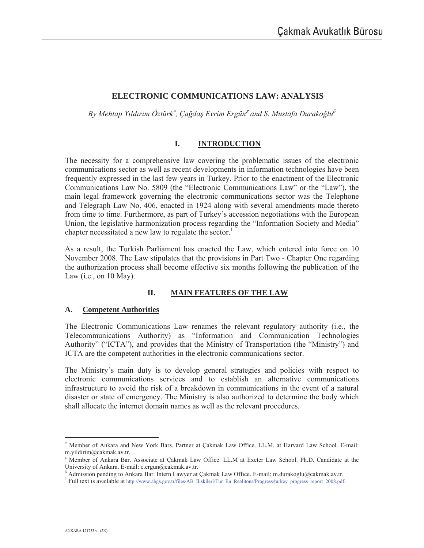# **ELECTRONIC COMMUNICATIONS LAW: ANALYSIS**

*By Mehtap YÕldÕrÕm Öztürk*<sup>∗</sup> *, Ça÷daú Evrim Ergün*<sup>ε</sup>  *and S. Mustafa Durako÷lu<sup>į</sup>*

#### **I. INTRODUCTION**

The necessity for a comprehensive law covering the problematic issues of the electronic communications sector as well as recent developments in information technologies have been frequently expressed in the last few years in Turkey. Prior to the enactment of the Electronic Communications Law No. 5809 (the "Electronic Communications Law" or the "Law"), the main legal framework governing the electronic communications sector was the Telephone and Telegraph Law No. 406, enacted in 1924 along with several amendments made thereto from time to time. Furthermore, as part of Turkey's accession negotiations with the European Union, the legislative harmonization process regarding the "Information Society and Media" chapter necessitated a new law to regulate the sector.<sup>1</sup>

As a result, the Turkish Parliament has enacted the Law, which entered into force on 10 November 2008. The Law stipulates that the provisions in Part Two - Chapter One regarding the authorization process shall become effective six months following the publication of the Law  $(i.e., on 10 May)$ .

### **II. MAIN FEATURES OF THE LAW**

### **A. Competent Authorities**

The Electronic Communications Law renames the relevant regulatory authority (i.e., the Telecommunications Authority) as "Information and Communication Technologies Authority" ("ICTA"), and provides that the Ministry of Transportation (the "Ministry") and ICTA are the competent authorities in the electronic communications sector.

The Ministry's main duty is to develop general strategies and policies with respect to electronic communications services and to establish an alternative communications infrastructure to avoid the risk of a breakdown in communications in the event of a natural disaster or state of emergency. The Ministry is also authorized to determine the body which shall allocate the internet domain names as well as the relevant procedures.

 $\overline{a}$ 

<sup>∗</sup> Member of Ankara and New York Bars. Partner at Çakmak Law Office. LL.M. at Harvard Law School. E-mail: m.yildirim@cakmak.av.tr.

ε Member of Ankara Bar. Associate at Çakmak Law Office. LL.M at Exeter Law School. Ph.D. Candidate at the University of Ankara. E-mail: c.ergun@cakmak.av.tr.

<sup>&</sup>lt;sup>8</sup> Admission pending to Ankara Bar. Intern Lawyer at Çakmak Law Office. E-mail: m.durakoglu@cakmak.av.tr.

<sup>&</sup>lt;sup>1</sup> Full text is available at http://www.abgs.gov.tr/files/AB\_Iliskileri/Tur\_En\_Realitons/Progress/turkey\_progress\_report\_2008.pdf.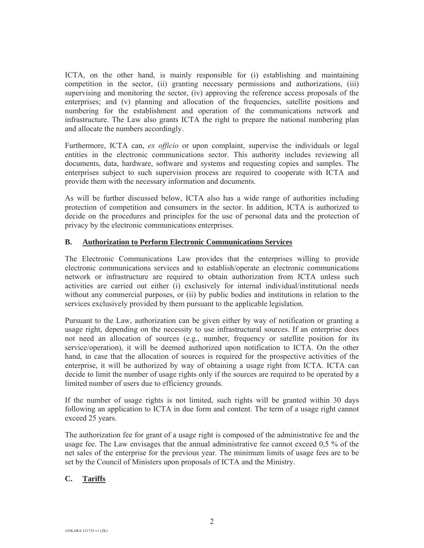ICTA, on the other hand, is mainly responsible for (i) establishing and maintaining competition in the sector, (ii) granting necessary permissions and authorizations, (iii) supervising and monitoring the sector, (iv) approving the reference access proposals of the enterprises; and (v) planning and allocation of the frequencies, satellite positions and numbering for the establishment and operation of the communications network and infrastructure. The Law also grants ICTA the right to prepare the national numbering plan and allocate the numbers accordingly.

Furthermore, ICTA can, *ex officio* or upon complaint, supervise the individuals or legal entities in the electronic communications sector. This authority includes reviewing all documents, data, hardware, software and systems and requesting copies and samples. The enterprises subject to such supervision process are required to cooperate with ICTA and provide them with the necessary information and documents.

As will be further discussed below, ICTA also has a wide range of authorities including protection of competition and consumers in the sector. In addition, ICTA is authorized to decide on the procedures and principles for the use of personal data and the protection of privacy by the electronic communications enterprises.

#### **B. Authorization to Perform Electronic Communications Services**

The Electronic Communications Law provides that the enterprises willing to provide electronic communications services and to establish/operate an electronic communications network or infrastructure are required to obtain authorization from ICTA unless such activities are carried out either (i) exclusively for internal individual/institutional needs without any commercial purposes, or (ii) by public bodies and institutions in relation to the services exclusively provided by them pursuant to the applicable legislation.

Pursuant to the Law, authorization can be given either by way of notification or granting a usage right, depending on the necessity to use infrastructural sources. If an enterprise does not need an allocation of sources (e.g., number, frequency or satellite position for its service/operation), it will be deemed authorized upon notification to ICTA. On the other hand, in case that the allocation of sources is required for the prospective activities of the enterprise, it will be authorized by way of obtaining a usage right from ICTA. ICTA can decide to limit the number of usage rights only if the sources are required to be operated by a limited number of users due to efficiency grounds.

If the number of usage rights is not limited, such rights will be granted within 30 days following an application to ICTA in due form and content. The term of a usage right cannot exceed 25 years.

The authorization fee for grant of a usage right is composed of the administrative fee and the usage fee. The Law envisages that the annual administrative fee cannot exceed 0,5 % of the net sales of the enterprise for the previous year. The minimum limits of usage fees are to be set by the Council of Ministers upon proposals of ICTA and the Ministry.

### **C. Tariffs**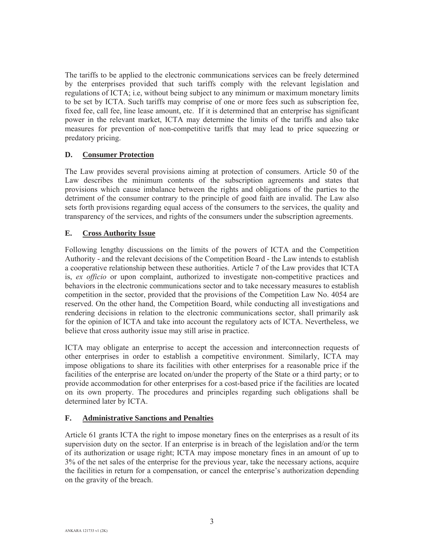The tariffs to be applied to the electronic communications services can be freely determined by the enterprises provided that such tariffs comply with the relevant legislation and regulations of ICTA; i.e, without being subject to any minimum or maximum monetary limits to be set by ICTA. Such tariffs may comprise of one or more fees such as subscription fee, fixed fee, call fee, line lease amount, etc. If it is determined that an enterprise has significant power in the relevant market, ICTA may determine the limits of the tariffs and also take measures for prevention of non-competitive tariffs that may lead to price squeezing or predatory pricing.

### **D. Consumer Protection**

The Law provides several provisions aiming at protection of consumers. Article 50 of the Law describes the minimum contents of the subscription agreements and states that provisions which cause imbalance between the rights and obligations of the parties to the detriment of the consumer contrary to the principle of good faith are invalid. The Law also sets forth provisions regarding equal access of the consumers to the services, the quality and transparency of the services, and rights of the consumers under the subscription agreements.

## **E. Cross Authority Issue**

Following lengthy discussions on the limits of the powers of ICTA and the Competition Authority - and the relevant decisions of the Competition Board - the Law intends to establish a cooperative relationship between these authorities. Article 7 of the Law provides that ICTA is, *ex officio* or upon complaint, authorized to investigate non-competitive practices and behaviors in the electronic communications sector and to take necessary measures to establish competition in the sector, provided that the provisions of the Competition Law No. 4054 are reserved. On the other hand, the Competition Board, while conducting all investigations and rendering decisions in relation to the electronic communications sector, shall primarily ask for the opinion of ICTA and take into account the regulatory acts of ICTA. Nevertheless, we believe that cross authority issue may still arise in practice.

ICTA may obligate an enterprise to accept the accession and interconnection requests of other enterprises in order to establish a competitive environment. Similarly, ICTA may impose obligations to share its facilities with other enterprises for a reasonable price if the facilities of the enterprise are located on/under the property of the State or a third party; or to provide accommodation for other enterprises for a cost-based price if the facilities are located on its own property. The procedures and principles regarding such obligations shall be determined later by ICTA.

### **F. Administrative Sanctions and Penalties**

Article 61 grants ICTA the right to impose monetary fines on the enterprises as a result of its supervision duty on the sector. If an enterprise is in breach of the legislation and/or the term of its authorization or usage right; ICTA may impose monetary fines in an amount of up to 3% of the net sales of the enterprise for the previous year, take the necessary actions, acquire the facilities in return for a compensation, or cancel the enterprise's authorization depending on the gravity of the breach.